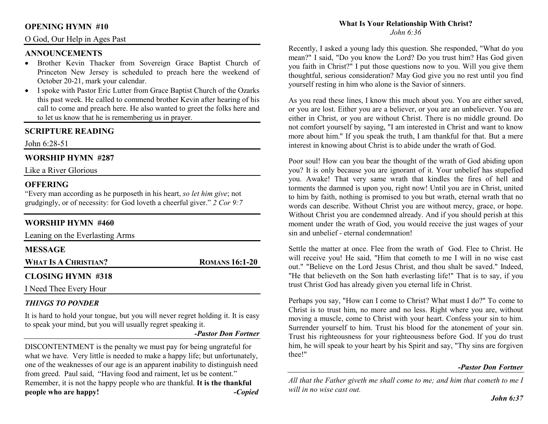## **OPENING HYMN #10**

#### O God, Our Help in Ages Past

#### **ANNOUNCEMENTS**

- Brother Kevin Thacker from Sovereign Grace Baptist Church of Princeton New Jersey is scheduled to preach here the weekend of October 20-21, mark your calendar.
- I spoke with Pastor Eric Lutter from Grace Baptist Church of the Ozarks •this past week. He called to commend brother Kevin after hearing of his call to come and preach here. He also wanted to greet the folks here and to let us know that he is remembering us in prayer.

#### **SCRIPTURE READING**

John 6:28-51

#### **WORSHIP HYMN #287**

Like a River Glorious

#### **OFFERING**

 "Every man according as he purposeth in his heart, *so let him give*; not grudgingly, or of necessity: for God loveth a cheerful giver." *2 Cor 9:7*

## **WORSHIP HYMN #460**

| Leaning on the Everlasting Arms |                       |
|---------------------------------|-----------------------|
| <b>MESSAGE</b>                  |                       |
| <b>WHAT IS A CHRISTIAN?</b>     | <b>ROMANS 16:1-20</b> |
| <b>CLOSING HYMN #318</b>        |                       |
| I Need Thee Every Hour          |                       |

#### *THINGS TO PONDER*

It is hard to hold your tongue, but you will never regret holding it. It is easy to speak your mind, but you will usually regret speaking it.

*-Pastor Don Fortner* 

DISCONTENTMENT is the penalty we must pay for being ungrateful for what we have. Very little is needed to make a happy life; but unfortunately, one of the weaknesses of our age is an apparent inability to distinguish need from greed. Paul said, "Having food and raiment, let us be content." Remember, it is not the happy people who are thankful. **It is the thankful people who are happy!** *-Copied*

#### **What Is Your Relationship With Christ?** *John 6:36*

Recently, I asked a young lady this question. She responded, "What do you mean?" I said, "Do you know the Lord? Do you trust him? Has God given you faith in Christ?" I put those questions now to you. Will you give them thoughtful, serious consideration? May God give you no rest until you find yourself resting in him who alone is the Savior of sinners.

As you read these lines, I know this much about you. You are either saved, or you are lost. Either you are a believer, or you are an unbeliever. You are either in Christ, or you are without Christ. There is no middle ground. Do not comfort yourself by saying, "I am interested in Christ and want to know more about him." If you speak the truth, I am thankful for that. But a mere interest in knowing about Christ is to abide under the wrath of God.

Poor soul! How can you bear the thought of the wrath of God abiding upon you? It is only because you are ignorant of it. Your unbelief has stupefied you. Awake! That very same wrath that kindles the fires of hell and torments the damned is upon you, right now! Until you are in Christ, united to him by faith, nothing is promised to you but wrath, eternal wrath that no words can describe. Without Christ you are without mercy, grace, or hope. Without Christ you are condemned already. And if you should perish at this moment under the wrath of God, you would receive the just wages of your sin and unbelief - eternal condemnation!

Settle the matter at once. Flee from the wrath of God. Flee to Christ. He will receive you! He said, "Him that cometh to me I will in no wise cast out." "Believe on the Lord Jesus Christ, and thou shalt be saved." Indeed, "He that believeth on the Son hath everlasting life!" That is to say, if you trust Christ God has already given you eternal life in Christ.

Perhaps you say, "How can I come to Christ? What must I do?" To come to Christ is to trust him, no more and no less. Right where you are, without moving a muscle, come to Christ with your heart. Confess your sin to him. Surrender yourself to him. Trust his blood for the atonement of your sin. Trust his righteousness for your righteousness before God. If you do trust him, he will speak to your heart by his Spirit and say, "Thy sins are forgiven thee!"

#### *-Pastor Don Fortner*

*All that the Father giveth me shall come to me; and him that cometh to me I will in no wise cast out.*